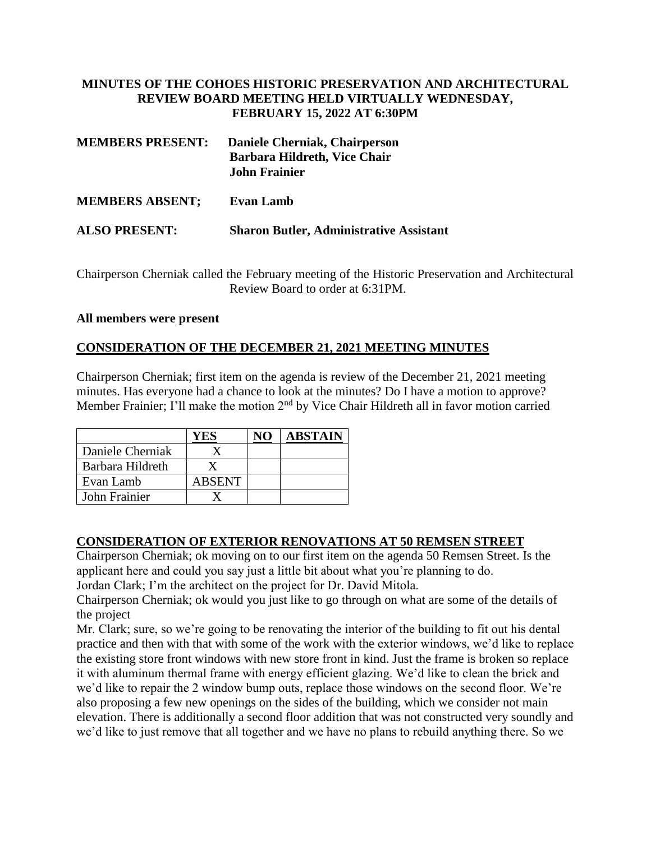## **MINUTES OF THE COHOES HISTORIC PRESERVATION AND ARCHITECTURAL REVIEW BOARD MEETING HELD VIRTUALLY WEDNESDAY, FEBRUARY 15, 2022 AT 6:30PM**

| <b>MEMBERS PRESENT:</b> | Daniele Cherniak, Chairperson<br>Barbara Hildreth, Vice Chair<br><b>John Frainier</b> |  |  |  |
|-------------------------|---------------------------------------------------------------------------------------|--|--|--|
| <b>MEMBERS ABSENT:</b>  | <b>Evan Lamb</b>                                                                      |  |  |  |
| <b>ALSO PRESENT:</b>    | <b>Sharon Butler, Administrative Assistant</b>                                        |  |  |  |

Chairperson Cherniak called the February meeting of the Historic Preservation and Architectural Review Board to order at 6:31PM.

### **All members were present**

## **CONSIDERATION OF THE DECEMBER 21, 2021 MEETING MINUTES**

Chairperson Cherniak; first item on the agenda is review of the December 21, 2021 meeting minutes. Has everyone had a chance to look at the minutes? Do I have a motion to approve? Member Frainier; I'll make the motion  $2<sup>nd</sup>$  by Vice Chair Hildreth all in favor motion carried

|                  | Y ES   | <b>ABSTAIN</b> |
|------------------|--------|----------------|
| Daniele Cherniak |        |                |
| Barbara Hildreth |        |                |
| Evan Lamb        | ABSENT |                |
| John Frainier    |        |                |

### **CONSIDERATION OF EXTERIOR RENOVATIONS AT 50 REMSEN STREET**

Chairperson Cherniak; ok moving on to our first item on the agenda 50 Remsen Street. Is the applicant here and could you say just a little bit about what you're planning to do. Jordan Clark; I'm the architect on the project for Dr. David Mitola.

Chairperson Cherniak; ok would you just like to go through on what are some of the details of the project

Mr. Clark; sure, so we're going to be renovating the interior of the building to fit out his dental practice and then with that with some of the work with the exterior windows, we'd like to replace the existing store front windows with new store front in kind. Just the frame is broken so replace it with aluminum thermal frame with energy efficient glazing. We'd like to clean the brick and we'd like to repair the 2 window bump outs, replace those windows on the second floor. We're also proposing a few new openings on the sides of the building, which we consider not main elevation. There is additionally a second floor addition that was not constructed very soundly and we'd like to just remove that all together and we have no plans to rebuild anything there. So we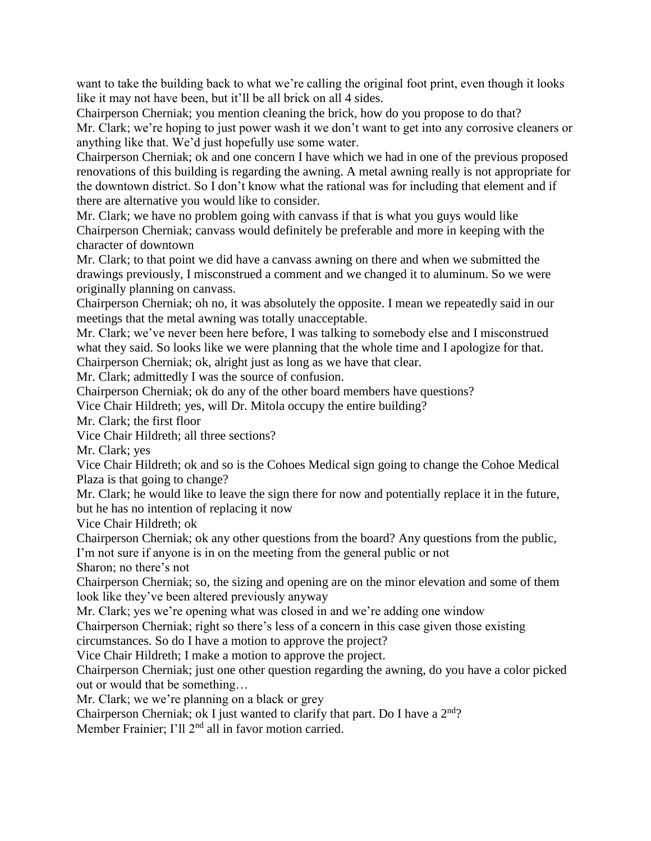want to take the building back to what we're calling the original foot print, even though it looks like it may not have been, but it'll be all brick on all 4 sides.

Chairperson Cherniak; you mention cleaning the brick, how do you propose to do that? Mr. Clark; we're hoping to just power wash it we don't want to get into any corrosive cleaners or anything like that. We'd just hopefully use some water.

Chairperson Cherniak; ok and one concern I have which we had in one of the previous proposed renovations of this building is regarding the awning. A metal awning really is not appropriate for the downtown district. So I don't know what the rational was for including that element and if there are alternative you would like to consider.

Mr. Clark; we have no problem going with canvass if that is what you guys would like Chairperson Cherniak; canvass would definitely be preferable and more in keeping with the character of downtown

Mr. Clark; to that point we did have a canvass awning on there and when we submitted the drawings previously, I misconstrued a comment and we changed it to aluminum. So we were originally planning on canvass.

Chairperson Cherniak; oh no, it was absolutely the opposite. I mean we repeatedly said in our meetings that the metal awning was totally unacceptable.

Mr. Clark; we've never been here before, I was talking to somebody else and I misconstrued what they said. So looks like we were planning that the whole time and I apologize for that. Chairperson Cherniak; ok, alright just as long as we have that clear.

Mr. Clark; admittedly I was the source of confusion.

Chairperson Cherniak; ok do any of the other board members have questions?

Vice Chair Hildreth; yes, will Dr. Mitola occupy the entire building?

Mr. Clark; the first floor

Vice Chair Hildreth; all three sections?

Mr. Clark; yes

Vice Chair Hildreth; ok and so is the Cohoes Medical sign going to change the Cohoe Medical Plaza is that going to change?

Mr. Clark; he would like to leave the sign there for now and potentially replace it in the future, but he has no intention of replacing it now

Vice Chair Hildreth; ok

Chairperson Cherniak; ok any other questions from the board? Any questions from the public, I'm not sure if anyone is in on the meeting from the general public or not

Sharon; no there's not

Chairperson Cherniak; so, the sizing and opening are on the minor elevation and some of them look like they've been altered previously anyway

Mr. Clark; yes we're opening what was closed in and we're adding one window

Chairperson Cherniak; right so there's less of a concern in this case given those existing

circumstances. So do I have a motion to approve the project?

Vice Chair Hildreth; I make a motion to approve the project.

Chairperson Cherniak; just one other question regarding the awning, do you have a color picked out or would that be something…

Mr. Clark; we we're planning on a black or grey

Chairperson Cherniak; ok I just wanted to clarify that part. Do I have a 2<sup>nd</sup>?

Member Frainier; I'll 2<sup>nd</sup> all in favor motion carried.